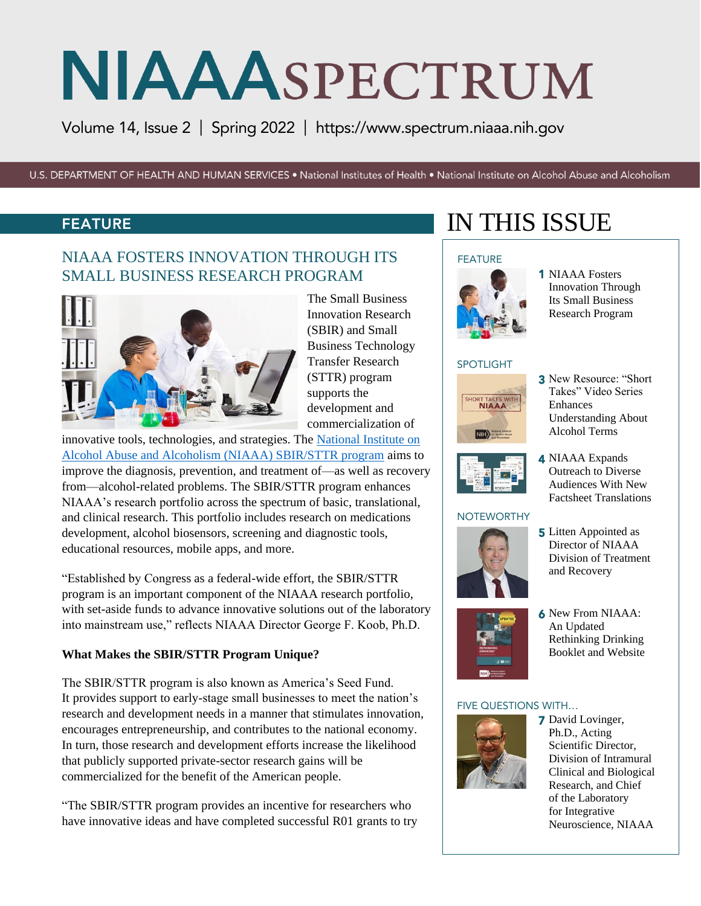Volume 14, Issue 2 | Spring 2022 | https:/[/www.spectrum.niaaa.nih.gov](http://www.spectrum.niaaa.nih.gov/) 

U.S. DEPARTMENT OF HEALTH AND HUMAN SERVICES . National Institutes of Health . National Institute on Alcohol Abuse and Alcoholism

#### FEATURE

### NIAAA FOSTERS INNOVATION THROUGH ITS SMALL BUSINESS RESEARCH PROGRAM



The Small Business Innovation Research (SBIR) and Small Business Technology Transfer Research (STTR) program supports the development and commercialization of

innovative tools, technologies, and strategies. The [National Institute on](https://www.niaaa.nih.gov/research/niaaa-sbir)  [Alcohol Abuse and Alcoholism \(NIAAA\) SBIR/STTR program](https://www.niaaa.nih.gov/research/niaaa-sbir) aims to improve the diagnosis, prevention, and treatment of—as well as recovery from—alcohol-related problems. The SBIR/STTR program enhances NIAAA's research portfolio across the spectrum of basic, translational, and clinical research. This portfolio includes research on medications development, alcohol biosensors, screening and diagnostic tools, educational resources, mobile apps, and more.

"Established by Congress as a federal-wide effort, the SBIR/STTR program is an important component of the NIAAA research portfolio, with set-aside funds to advance innovative solutions out of the laboratory into mainstream use," reflects NIAAA Director George F. Koob, Ph.D.

#### **What Makes the SBIR/STTR Program Unique?**

The SBIR/STTR program is also known as America's Seed Fund. It provides support to early-stage small businesses to meet the nation's research and development needs in a manner that stimulates innovation, encourages entrepreneurship, and contributes to the national economy. In turn, those research and development efforts increase the likelihood that publicly supported private-sector research gains will be commercialized for the benefit of the American people.

"The SBIR/STTR program provides an incentive for researchers who have innovative ideas and have completed successful R01 grants to try

# IN THIS ISSUE

#### **FEATURE**



1 NIAAA Fosters Innovation Through Its Small Business Research Program

#### SPOTLIGHT



3 New Resource: "Short Takes" Video Series Enhances Understanding About Alcohol Terms

4 NIAAA Expands Outreach to Diverse Audiences With New Factsheet Translations



#### **NOTEWORTHY**



**5** Litten Appointed as Director of NIAAA Division of Treatment and Recovery



6 New From NIAAA: An Updated Rethinking Drinking Booklet and Website

#### FIVE QUESTIONS WITH…



**7** David Lovinger, Ph.D., Acting Scientific Director, Division of Intramural Clinical and Biological Research, and Chief of the Laboratory for Integrative Neuroscience, NIAAA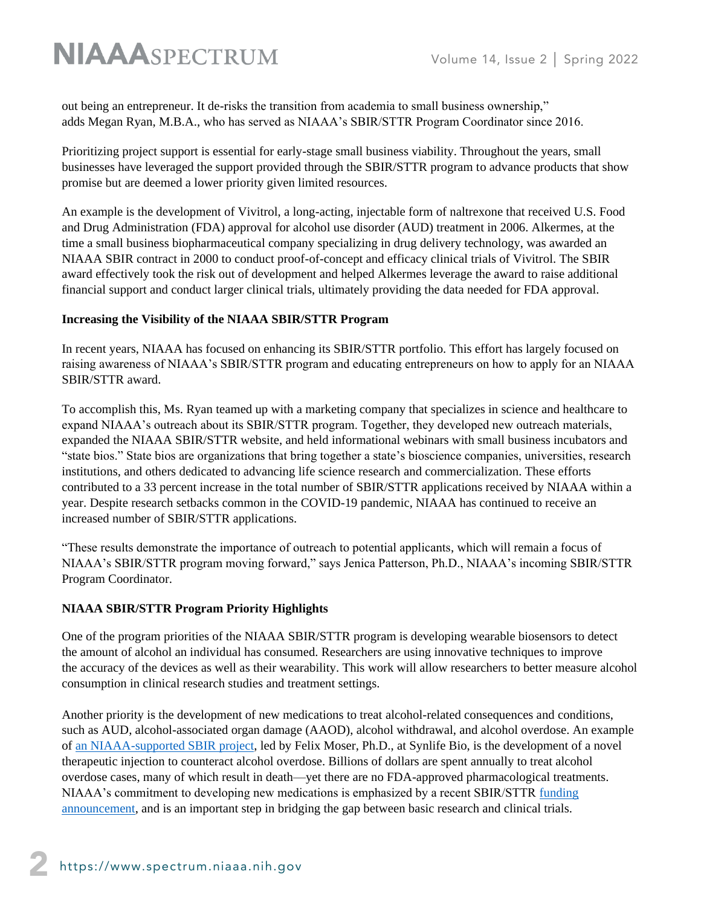out being an entrepreneur. It de-risks the transition from academia to small business ownership," adds Megan Ryan, M.B.A., who has served as NIAAA's SBIR/STTR Program Coordinator since 2016.

Prioritizing project support is essential for early-stage small business viability. Throughout the years, small businesses have leveraged the support provided through the SBIR/STTR program to advance products that show promise but are deemed a lower priority given limited resources.

An example is the development of Vivitrol, a long-acting, injectable form of naltrexone that received U.S. Food and Drug Administration (FDA) approval for alcohol use disorder (AUD) treatment in 2006. Alkermes, at the time a small business biopharmaceutical company specializing in drug delivery technology, was awarded an NIAAA SBIR contract in 2000 to conduct proof-of-concept and efficacy clinical trials of Vivitrol. The SBIR award effectively took the risk out of development and helped Alkermes leverage the award to raise additional financial support and conduct larger clinical trials, ultimately providing the data needed for FDA approval.

#### **Increasing the Visibility of the NIAAA SBIR/STTR Program**

In recent years, NIAAA has focused on enhancing its SBIR/STTR portfolio. This effort has largely focused on raising awareness of NIAAA's SBIR/STTR program and educating entrepreneurs on how to apply for an NIAAA SBIR/STTR award.

To accomplish this, Ms. Ryan teamed up with a marketing company that specializes in science and healthcare to expand NIAAA's outreach about its SBIR/STTR program. Together, they developed new outreach materials, expanded the NIAAA SBIR/STTR website, and held informational webinars with small business incubators and "state bios." State bios are organizations that bring together a state's bioscience companies, universities, research institutions, and others dedicated to advancing life science research and commercialization. These efforts contributed to a 33 percent increase in the total number of SBIR/STTR applications received by NIAAA within a year. Despite research setbacks common in the COVID-19 pandemic, NIAAA has continued to receive an increased number of SBIR/STTR applications.

"These results demonstrate the importance of outreach to potential applicants, which will remain a focus of NIAAA's SBIR/STTR program moving forward," says Jenica Patterson, Ph.D., NIAAA's incoming SBIR/STTR Program Coordinator.

#### **NIAAA SBIR/STTR Program Priority Highlights**

One of the program priorities of the NIAAA SBIR/STTR program is developing wearable biosensors to detect the amount of alcohol an individual has consumed. Researchers are using innovative techniques to improve the accuracy of the devices as well as their wearability. This work will allow researchers to better measure alcohol consumption in clinical research studies and treatment settings.

Another priority is the development of new medications to treat alcohol-related consequences and conditions, such as AUD, alcohol-associated organ damage (AAOD), alcohol withdrawal, and alcohol overdose. An example of [an NIAAA-supported SBIR project,](https://reporter.nih.gov/search/0u4ykZHaOkmWs3KG7egLHQ/project-details/10139179) led by Felix Moser, Ph.D., at Synlife Bio, is the development of a novel therapeutic injection to counteract alcohol overdose. Billions of dollars are spent annually to treat alcohol overdose cases, many of which result in death—yet there are no FDA-approved pharmacological treatments. NIAAA's commitment to developing new medications is emphasized by a recent SBIR/STTR [funding](https://grants.nih.gov/grants/guide/pa-files/PAR-22-102.html)  [announcement,](https://grants.nih.gov/grants/guide/pa-files/PAR-22-102.html) and is an important step in bridging the gap between basic research and clinical trials.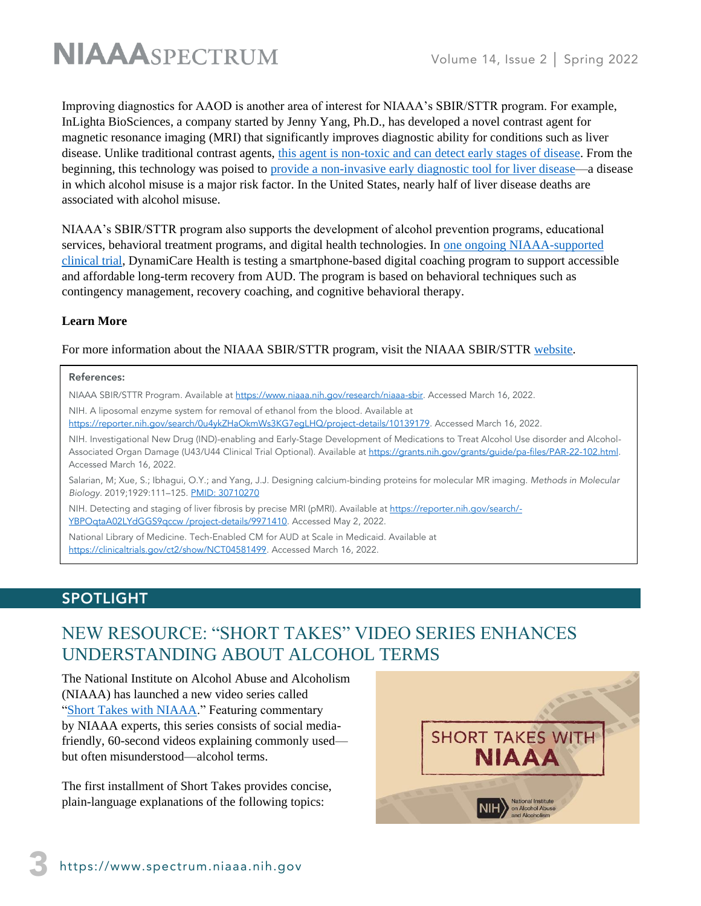

Improving diagnostics for AAOD is another area of interest for NIAAA's SBIR/STTR program. For example, InLighta BioSciences, a company started by Jenny Yang, Ph.D., has developed a novel contrast agent for magnetic resonance imaging (MRI) that significantly improves diagnostic ability for conditions such as liver disease. Unlike traditional contrast agents, [this agent is non-toxic and can detect early stages of disease.](https://pubmed.ncbi.nlm.nih.gov/30710270/) From the beginning, this technology was poised to provide [a non-invasive early diagnostic tool for liver disease—](https://reporter.nih.gov/search/-YBPOqtaA02LYdGGS9qccw/project-details/9971410)a disease in which alcohol misuse is a major risk factor. In the United States, nearly half of liver disease deaths are associated with alcohol misuse.

NIAAA's SBIR/STTR program also supports the development of alcohol prevention programs, educational services, behavioral treatment programs, and digital health technologies. In [one ongoing NIAAA-supported](https://clinicaltrials.gov/ct2/show/NCT04581499)  [clinical trial,](https://clinicaltrials.gov/ct2/show/NCT04581499) DynamiCare Health is testing a smartphone-based digital coaching program to support accessible and affordable long-term recovery from AUD. The program is based on behavioral techniques such as contingency management, recovery coaching, and cognitive behavioral therapy.

#### **Learn More**

For more information about the NIAAA SBIR/STTR program, visit the NIAAA SBIR/STTR [website.](https://www.niaaa.nih.gov/research/niaaa-sbir)

#### References:

NIAAA SBIR/STTR Program. Available at [https://www.niaaa.nih.gov/research/niaaa-sbir.](https://www.niaaa.nih.gov/research/niaaa-sbir) Accessed March 16, 2022.

NIH. A liposomal enzyme system for removal of ethanol from the blood. Available at

[https://reporter.nih.gov/search/0u4ykZHaOkmWs3KG7egLHQ/project-details/10139179.](https://reporter.nih.gov/search/0u4ykZHaOkmWs3KG7egLHQ/project-details/10139179) Accessed March 16, 2022.

NIH. Investigational New Drug (IND)-enabling and Early-Stage Development of Medications to Treat Alcohol Use disorder and Alcohol-Associated Organ Damage (U43/U44 Clinical Trial Optional). Available at https://grants.nih.gov/grants/guide/pa-files/PAR-22-102.html. Accessed March 16, 2022.

Salarian, M; Xue, S.; Ibhagui, O.Y.; and Yang, J.J. Designing calcium-binding proteins for molecular MR imaging. *Methods in Molecular Biology*. 2019;1929:111–125. [PMID: 30710270](https://pubmed.ncbi.nlm.nih.gov/30710270/)

NIH. Detecting and staging of liver fibrosis by precise MRI (pMRI). Available a[t https://reporter.nih.gov/search/-](https://reporter.nih.gov/search/-YBPOqtaA02LYdGGS9qccw%20/project-details/9971410) [YBPOqtaA02LYdGGS9qccw /project-details/9971410.](https://reporter.nih.gov/search/-YBPOqtaA02LYdGGS9qccw%20/project-details/9971410) Accessed May 2, 2022.

National Library of Medicine. Tech-Enabled CM for AUD at Scale in Medicaid. Available at [https://clinicaltrials.gov/ct2/show/NCT04581499.](https://clinicaltrials.gov/ct2/show/NCT04581499) Accessed March 16, 2022.

#### SPOTLIGHT

# NEW RESOURCE: "SHORT TAKES" VIDEO SERIES ENHANCES UNDERSTANDING ABOUT ALCOHOL TERMS

The National Institute on Alcohol Abuse and Alcoholism (NIAAA) has launched a new video series called "[Short Takes with NIAAA](https://www.niaaa.nih.gov/niaaa-short-takes-video-series)." Featuring commentary by NIAAA experts, this series consists of social mediafriendly, 60-second videos explaining commonly used but often misunderstood—alcohol terms.

The first installment of Short Takes provides concise, plain-language explanations of the following topics:

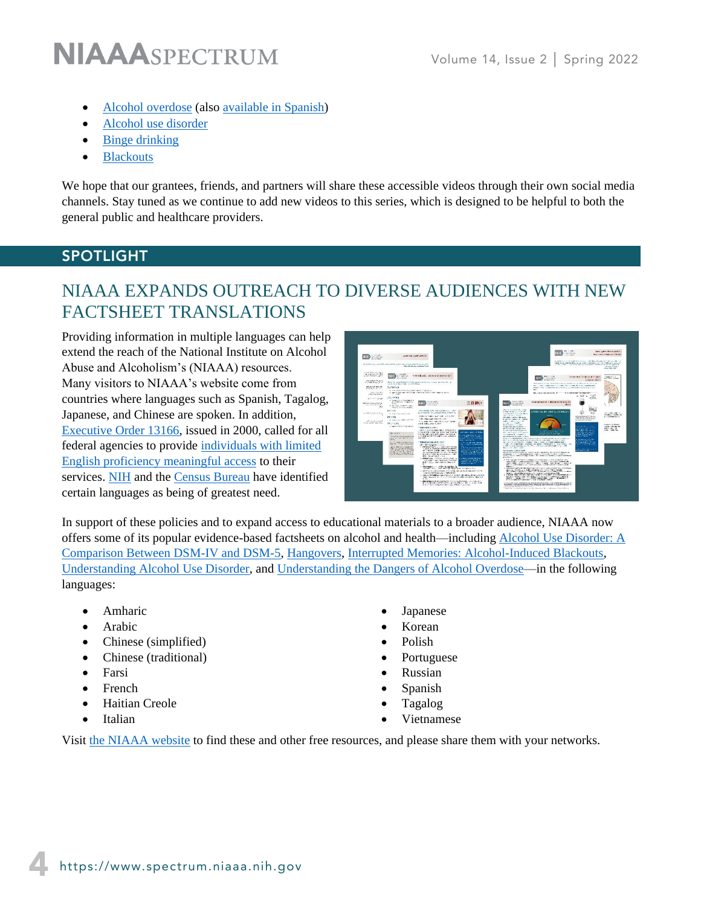- [Alcohol overdose](https://www.youtube.com/watch?v=KDHEHAzOh1M&feature=youtu.be) (also [available in Spanish\)](https://youtu.be/Z-jQdUwYUhk)
- [Alcohol use disorder](https://youtu.be/Kw8veYE93LA)
- [Binge drinking](https://youtu.be/vT55ShgKr6g)
- [Blackouts](https://youtu.be/BpxElRqyxn0)

We hope that our grantees, friends, and partners will share these accessible videos through their own social media channels. Stay tuned as we continue to add new videos to this series, which is designed to be helpful to both the general public and healthcare providers.

#### SPOTLIGHT

# NIAAA EXPANDS OUTREACH TO DIVERSE AUDIENCES WITH NEW FACTSHEET TRANSLATIONS

Providing information in multiple languages can help extend the reach of the National Institute on Alcohol Abuse and Alcoholism's (NIAAA) resources. Many visitors to NIAAA's website come from countries where languages such as Spanish, Tagalog, Japanese, and Chinese are spoken. In addition, [Executive Order 13166,](https://www.justice.gov/sites/default/files/crt/legacy/2010/12/14/eolep.pdf) issued in 2000, called for all federal agencies to provide [individuals with limited](https://www.edi.nih.gov/sites/default/files/nih-language-access-plan2014.pdf)  [English proficiency meaningful access](https://www.edi.nih.gov/sites/default/files/nih-language-access-plan2014.pdf) to their services. [NIH](https://clinicalcenter.nih.gov/swd/language/language.html) and the [Census Bureau](https://www2.census.gov/library/publications/decennial/2020/operations/language-product-handbook.pdf) have identified certain languages as being of greatest need.



In support of these policies and to expand access to educational materials to a broader audience, NIAAA now offers some of its popular evidence-based factsheets on alcohol and health—including [Alcohol Use Disorder: A](https://www.niaaa.nih.gov/publications/brochures-and-fact-sheets/alcohol-use-disorder-comparison-between-dsm)  [Comparison Between DSM-IV and DSM-5,](https://www.niaaa.nih.gov/publications/brochures-and-fact-sheets/alcohol-use-disorder-comparison-between-dsm) [Hangovers,](https://www.niaaa.nih.gov/publications/brochures-and-fact-sheets/hangovers) [Interrupted Memories: Alcohol-Induced Blackouts,](https://www.niaaa.nih.gov/publications/brochures-and-fact-sheets/interrupted-memories-alcohol-induced-blackouts) [Understanding Alcohol Use Disorder,](https://www.niaaa.nih.gov/publications/brochures-and-fact-sheets/understanding-alcohol-use-disorder) and [Understanding the Dangers of Alcohol Overdose—](https://www.niaaa.nih.gov/publications/brochures-and-fact-sheets/understanding-dangers-of-alcohol-overdose)in the following languages:

- Amharic
- Arabic
- Chinese (simplified)
- Chinese (traditional)
- Farsi
- French
- Haitian Creole
- Italian
- Japanese
- Korean
- Polish
- Portuguese
- Russian
- Spanish
- Tagalog
- Vietnamese

Visit [the NIAAA website](https://www.niaaa.nih.gov/alcohols-effects-health/alcohol-topics) to find these and other free resources, and please share them with your networks.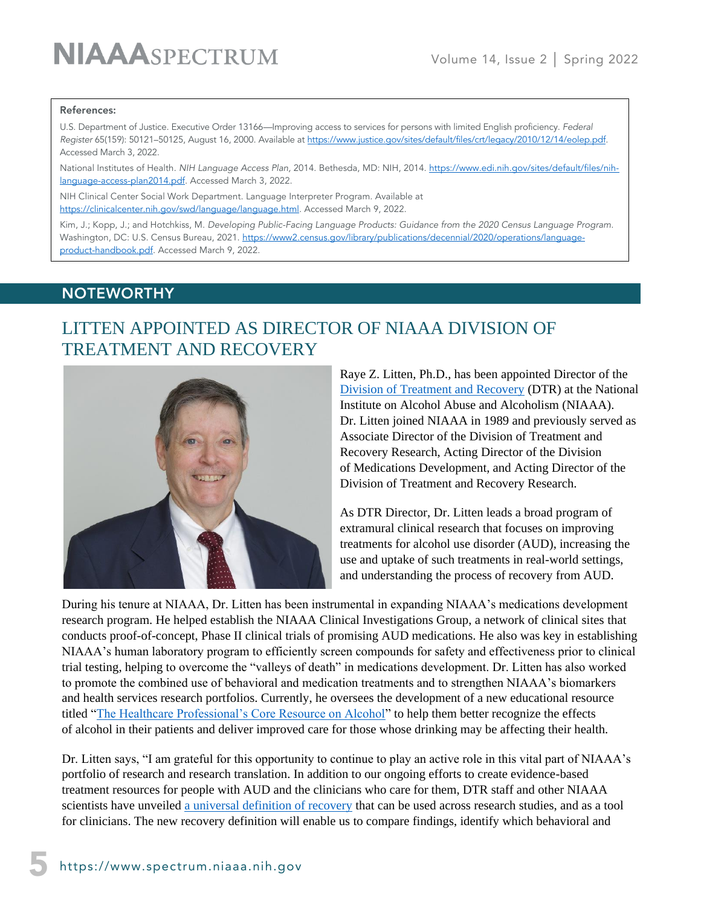#### References:

U.S. Department of Justice. Executive Order 13166*—*Improving access to services for persons with limited English proficiency. *Federal Register* 65(159): 50121–50125, August 16, 2000. Available a[t https://www.justice.gov/sites/default/files/crt/legacy/2010/12/14/eolep.pdf.](https://www.justice.gov/sites/default/files/crt/legacy/2010/12/14/eolep.pdf) Accessed March 3, 2022.

National Institutes of Health*. NIH Language Access Plan,* 2014. Bethesda, MD: NIH, 2014. [https://www.edi.nih.gov/sites/default/files/nih](https://www.edi.nih.gov/sites/default/files/nih-language-access-plan2014.pdf)[language-access-plan2014.pdf.](https://www.edi.nih.gov/sites/default/files/nih-language-access-plan2014.pdf) Accessed March 3, 2022.

NIH Clinical Center Social Work Department. Language Interpreter Program. Available at [https://clinicalcenter.nih.gov/swd/language/language.html.](https://clinicalcenter.nih.gov/swd/language/language.html) Accessed March 9, 2022.

Kim, J.; Kopp, J.; and Hotchkiss, M. *Developing Public-Facing Language Products: Guidance from the 2020 Census Language Program*. Washington, DC: U.S. Census Bureau, 2021. [https://www2.census.gov/library/publications/decennial/2020/operations/language](https://www2.census.gov/library/publications/decennial/2020/operations/language-product-handbook.pdf)[product-handbook.pdf.](https://www2.census.gov/library/publications/decennial/2020/operations/language-product-handbook.pdf) Accessed March 9, 2022.

#### **NOTEWORTHY**

March 9, 2022.

## LITTEN APPOINTED AS DIRECTOR OF NIAAA DIVISION OF TREATMENT AND RECOVERY



Raye Z. Litten, Ph.D., has been appointed Director of the [Division of Treatment and Recovery](https://www.niaaa.nih.gov/research/extramural-research/division-treatment-and-recovery-dtr) (DTR) at the National Institute on Alcohol Abuse and Alcoholism (NIAAA). Dr. Litten joined NIAAA in 1989 and previously served as Associate Director of the Division of Treatment and Recovery Research, Acting Director of the Division of Medications Development, and Acting Director of the Division of Treatment and Recovery Research.

As DTR Director, Dr. Litten leads a broad program of extramural clinical research that focuses on improving treatments for alcohol use disorder (AUD), increasing the use and uptake of such treatments in real-world settings, and understanding the process of recovery from AUD.

During his tenure at NIAAA, Dr. Litten has been instrumental in expanding NIAAA's medications development research program. He helped establish the NIAAA Clinical Investigations Group, a network of clinical sites that conducts proof-of-concept, Phase II clinical trials of promising AUD medications. He also was key in establishing NIAAA's human laboratory program to efficiently screen compounds for safety and effectiveness prior to clinical trial testing, helping to overcome the "valleys of death" in medications development. Dr. Litten has also worked to promote the combined use of behavioral and medication treatments and to strengthen NIAAA's biomarkers and health services research portfolios. Currently, he oversees the development of a new educational resource titled ["The Healthcare Professional's Core Resource on Alcohol"](https://www.niaaa.nih.gov/health-professionals-communities/core-resource-on-alcohol) to help them better recognize the effects of alcohol in their patients and deliver improved care for those whose drinking may be affecting their health.

Dr. Litten says, "I am grateful for this opportunity to continue to play an active role in this vital part of NIAAA's portfolio of research and research translation. In addition to our ongoing efforts to create evidence-based treatment resources for people with AUD and the clinicians who care for them, DTR staff and other NIAAA scientists have unveiled [a universal definition of recovery](https://pubmed.ncbi.nlm.nih.gov/35410494/) that can be used across research studies, and as a tool for clinicians. The new recovery definition will enable us to compare findings, identify which behavioral and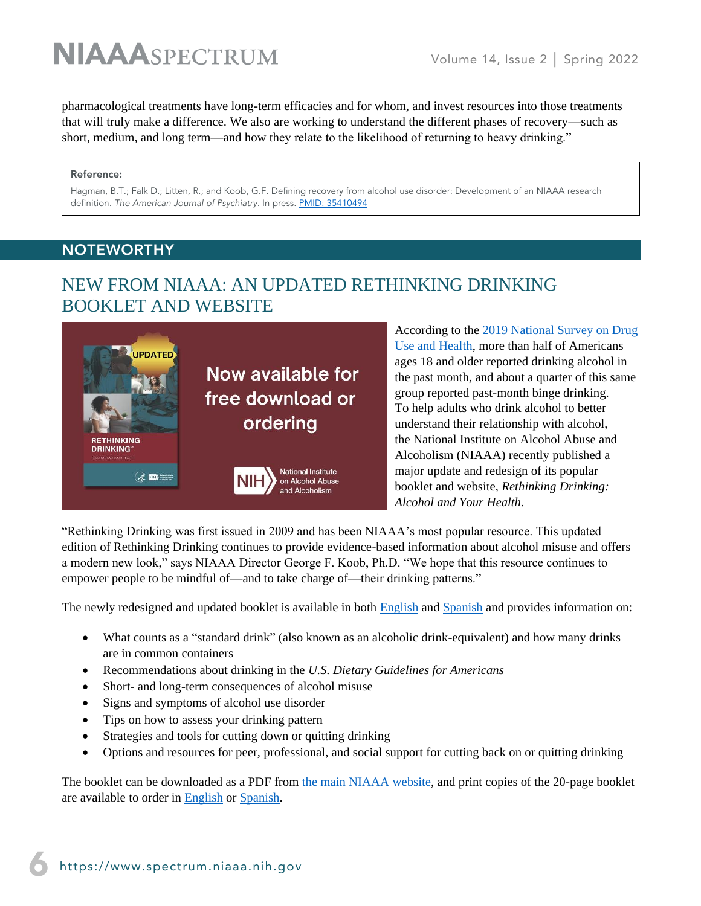pharmacological treatments have long-term efficacies and for whom, and invest resources into those treatments that will truly make a difference. We also are working to understand the different phases of recovery—such as short, medium, and long term—and how they relate to the likelihood of returning to heavy drinking."

#### Reference:

Hagman, B.T.; Falk D.; Litten, R.; and Koob, G.F. Defining recovery from alcohol use disorder: Development of an NIAAA research definition. *The American Journal of Psychiatry*. In press. [PMID: 35410494](https://pubmed.ncbi.nlm.nih.gov/35410494/)

#### **NOTEWORTHY**

### NEW FROM NIAAA: AN UPDATED RETHINKING DRINKING BOOKLET AND WEBSITE



According to the [2019 National Survey on Drug](https://www.samhsa.gov/data/report/2019-nsduh-detailed-tables)  [Use and Health,](https://www.samhsa.gov/data/report/2019-nsduh-detailed-tables) more than half of Americans ages 18 and older reported drinking alcohol in the past month, and about a quarter of this same group reported past-month binge drinking. To help adults who drink alcohol to better understand their relationship with alcohol, the National Institute on Alcohol Abuse and Alcoholism (NIAAA) recently published a major update and redesign of its popular booklet and website, *Rethinking Drinking: Alcohol and Your Health*.

"Rethinking Drinking was first issued in 2009 and has been NIAAA's most popular resource. This updated edition of Rethinking Drinking continues to provide evidence-based information about alcohol misuse and offers a modern new look," says NIAAA Director George F. Koob, Ph.D. "We hope that this resource continues to empower people to be mindful of—and to take charge of—their drinking patterns."

The newly redesigned and updated booklet is available in both [English](https://www.niaaa.nih.gov/sites/default/files/publications/NIAAA_RethinkingDrinking.pdf) and [Spanish](https://www.niaaa.nih.gov/sites/default/files/publications/rethinking_drinking_6x9_24pg_book-spanish_v10.pdf) and provides information on:

- What counts as a "standard drink" (also known as an alcoholic drink-equivalent) and how many drinks are in common containers
- Recommendations about drinking in the *U.S. Dietary Guidelines for Americans*
- Short- and long-term consequences of alcohol misuse
- Signs and symptoms of alcohol use disorder
- Tips on how to assess your drinking pattern
- Strategies and tools for cutting down or quitting drinking
- Options and resources for peer, professional, and social support for cutting back on or quitting drinking

The booklet can be downloaded as a PDF from [the main NIAAA website,](https://www.niaaa.nih.gov/sites/default/files/publications/NIAAA_RethinkingDrinking.pdf) and print copies of the 20-page booklet are available to order in [English](https://www.niaaa.nih.gov/niaaa-publications-order-form#pub-1) or [Spanish.](https://www.niaaa.nih.gov/publicaciones-en-espanol#pub-1)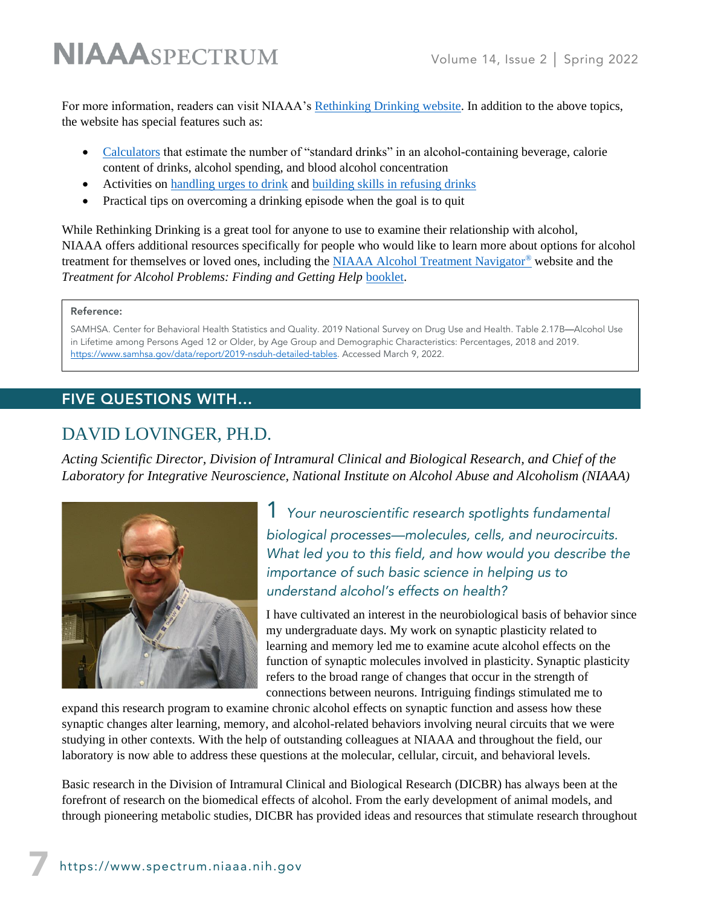For more information, readers can visit NIAAA's [Rethinking Drinking website.](https://www.rethinkingdrinking.niaaa.nih.gov/) In addition to the above topics, the website has special features such as:

- [Calculators](https://www.rethinkingdrinking.niaaa.nih.gov/Tools/Calculators/Default.aspx) that estimate the number of "standard drinks" in an alcohol-containing beverage, calorie content of drinks, alcohol spending, and blood alcohol concentration
- Activities on [handling urges to drink](https://www.rethinkingdrinking.niaaa.nih.gov/Tools/Interactive-worksheets-and-more/Stay-in-control/Coping-With-Urges-To-Drink.aspx) and [building skills in refusing drinks](https://www.rethinkingdrinking.niaaa.nih.gov/Tools/Interactive-worksheets-and-more/Stay-in-control/Drink-Refusal-Skills.aspx)
- Practical tips on overcoming a drinking episode when the goal is to quit

While Rethinking Drinking is a great tool for anyone to use to examine their relationship with alcohol, NIAAA offers additional resources specifically for people who would like to learn more about options for alcohol treatment for themselves or loved ones, including the [NIAAA Alcohol Treatment Navigator](https://alcoholtreatment.niaaa.nih.gov/)® website and the *Treatment for Alcohol Problems: Finding and Getting Help* [booklet.](https://www.niaaa.nih.gov/publications/brochures-and-fact-sheets/treatment-alcohol-problems-finding-and-getting-help)

#### Reference:

SAMHSA. Center for Behavioral Health Statistics and Quality. 2019 National Survey on Drug Use and Health. Table 2.17B—Alcohol Use in Lifetime among Persons Aged 12 or Older, by Age Group and Demographic Characteristics: Percentages, 2018 and 2019. [https://www.samhsa.gov/data/report/2019-nsduh-detailed-tables.](https://www.samhsa.gov/data/report/2019-nsduh-detailed-tables) Accessed March 9, 2022.

#### FIVE QUESTIONS WITH…

### DAVID LOVINGER, PH.D.

*Acting Scientific Director, Division of Intramural Clinical and Biological Research, and Chief of the Laboratory for Integrative Neuroscience, National Institute on Alcohol Abuse and Alcoholism (NIAAA)*



1 *Your neuroscientific research spotlights fundamental biological processes—molecules, cells, and neurocircuits. What led you to this field, and how would you describe the importance of such basic science in helping us to understand alcohol's effects on health?*

I have cultivated an interest in the neurobiological basis of behavior since my undergraduate days. My work on synaptic plasticity related to learning and memory led me to examine acute alcohol effects on the function of synaptic molecules involved in plasticity. Synaptic plasticity refers to the broad range of changes that occur in the strength of connections between neurons. Intriguing findings stimulated me to

expand this research program to examine chronic alcohol effects on synaptic function and assess how these synaptic changes alter learning, memory, and alcohol-related behaviors involving neural circuits that we were studying in other contexts. With the help of outstanding colleagues at NIAAA and throughout the field, our laboratory is now able to address these questions at the molecular, cellular, circuit, and behavioral levels.

Basic research in the Division of Intramural Clinical and Biological Research (DICBR) has always been at the forefront of research on the biomedical effects of alcohol. From the early development of animal models, and through pioneering metabolic studies, DICBR has provided ideas and resources that stimulate research throughout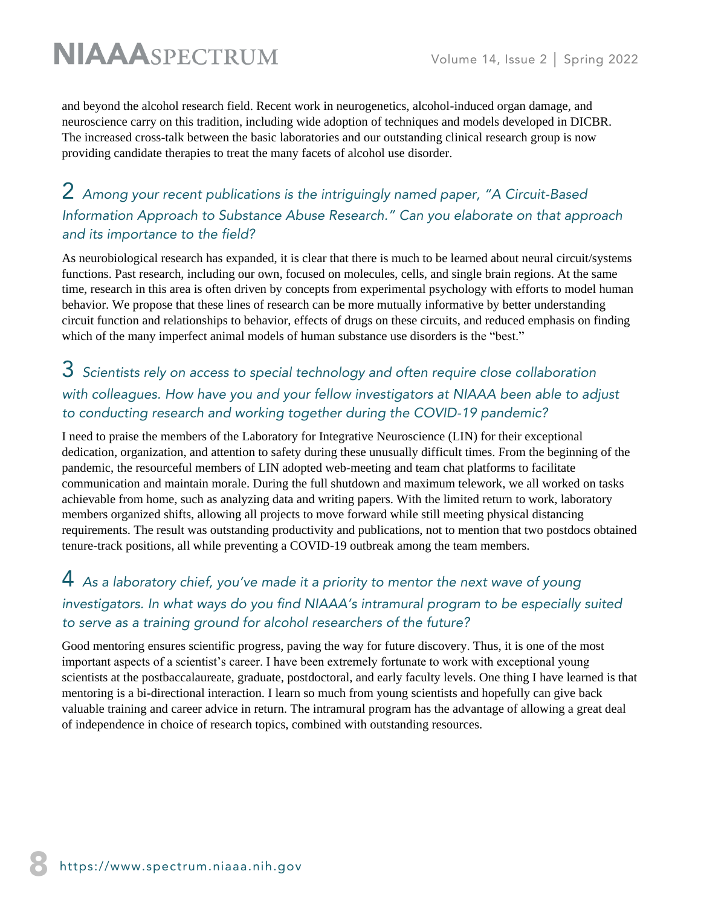and beyond the alcohol research field. Recent work in neurogenetics, alcohol-induced organ damage, and neuroscience carry on this tradition, including wide adoption of techniques and models developed in DICBR. The increased cross-talk between the basic laboratories and our outstanding clinical research group is now providing candidate therapies to treat the many facets of alcohol use disorder.

### 2 *Among your recent publications is the intriguingly named paper, "A Circuit-Based Information Approach to Substance Abuse Research." Can you elaborate on that approach and its importance to the field?*

As neurobiological research has expanded, it is clear that there is much to be learned about neural circuit/systems functions. Past research, including our own, focused on molecules, cells, and single brain regions. At the same time, research in this area is often driven by concepts from experimental psychology with efforts to model human behavior. We propose that these lines of research can be more mutually informative by better understanding circuit function and relationships to behavior, effects of drugs on these circuits, and reduced emphasis on finding which of the many imperfect animal models of human substance use disorders is the "best."

### 3 *Scientists rely on access to special technology and often require close collaboration with colleagues. How have you and your fellow investigators at NIAAA been able to adjust to conducting research and working together during the COVID-19 pandemic?*

I need to praise the members of the Laboratory for Integrative Neuroscience (LIN) for their exceptional dedication, organization, and attention to safety during these unusually difficult times. From the beginning of the pandemic, the resourceful members of LIN adopted web-meeting and team chat platforms to facilitate communication and maintain morale. During the full shutdown and maximum telework, we all worked on tasks achievable from home, such as analyzing data and writing papers. With the limited return to work, laboratory members organized shifts, allowing all projects to move forward while still meeting physical distancing requirements. The result was outstanding productivity and publications, not to mention that two postdocs obtained tenure-track positions, all while preventing a COVID-19 outbreak among the team members.

## 4 *As a laboratory chief, you've made it a priority to mentor the next wave of young*  investigators. In what ways do you find NIAAA's intramural program to be especially suited *to serve as a training ground for alcohol researchers of the future?*

Good mentoring ensures scientific progress, paving the way for future discovery. Thus, it is one of the most important aspects of a scientist's career. I have been extremely fortunate to work with exceptional young scientists at the postbaccalaureate, graduate, postdoctoral, and early faculty levels. One thing I have learned is that mentoring is a bi-directional interaction. I learn so much from young scientists and hopefully can give back valuable training and career advice in return. The intramural program has the advantage of allowing a great deal of independence in choice of research topics, combined with outstanding resources.